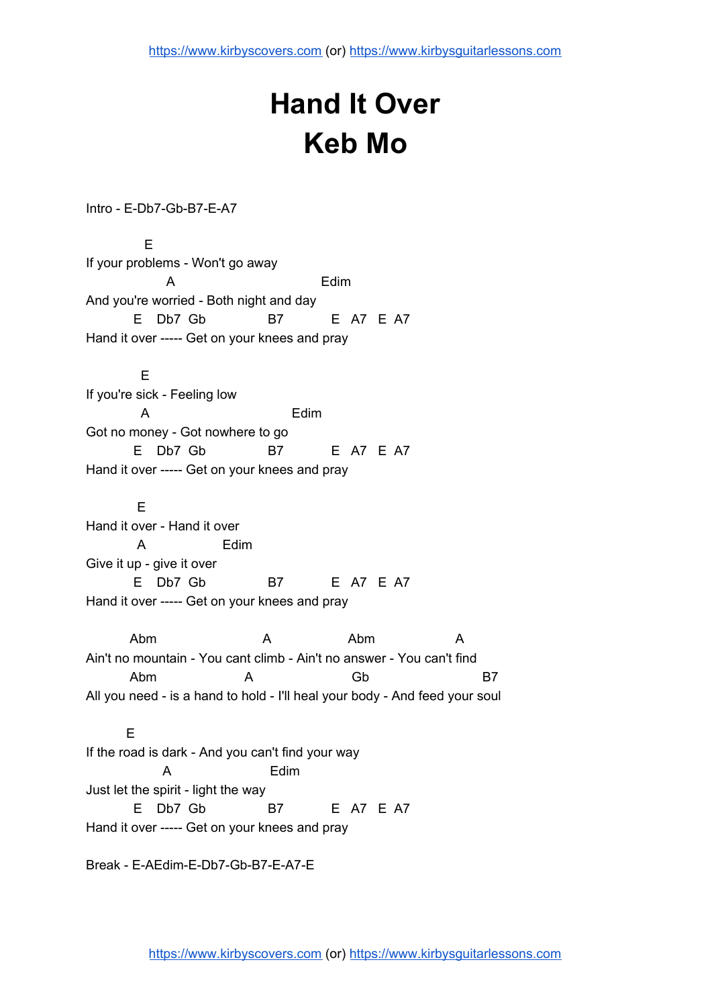## **Hand It Over Keb Mo**

Intro - E-Db7-Gb-B7-E-A7

E If your problems - Won't go away A Edim And you're worried - Both night and day E Db7 Gb B7 E A7 E A7 Hand it over ----- Get on your knees and pray E If you're sick - Feeling low A Edim Got no money - Got nowhere to go E Db7 Gb B7 E A7 E A7 Hand it over ----- Get on your knees and pray E Hand it over - Hand it over A Edim Give it up - give it over E Db7 Gb B7 E A7 E A7 Hand it over ----- Get on your knees and pray Abm A Abm A Ain't no mountain - You cant climb - Ain't no answer - You can't find Abm A Gb B7 All you need - is a hand to hold - I'll heal your body - And feed your soul E If the road is dark - And you can't find your way A Edim Just let the spirit - light the way E Db7 Gb B7 E A7 E A7

Hand it over ----- Get on your knees and pray

Break - E-AEdim-E-Db7-Gb-B7-E-A7-E